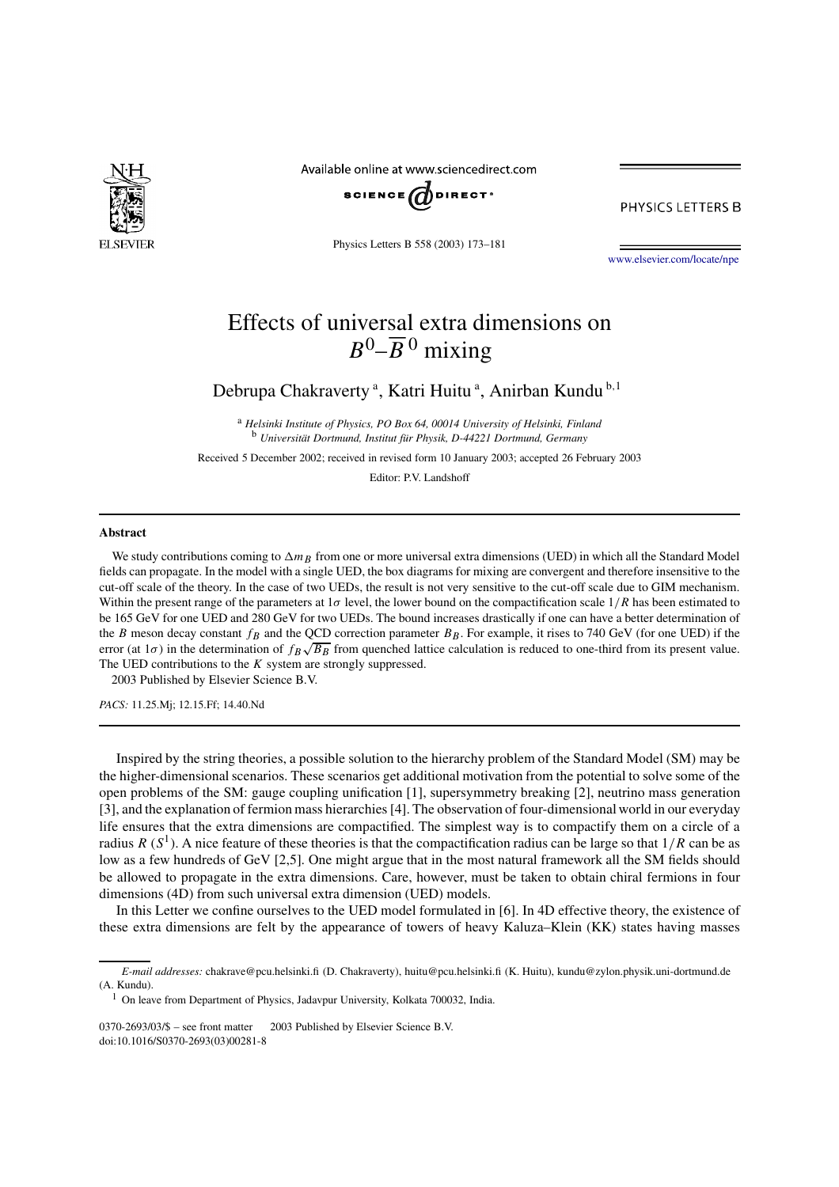

Available online at www.sciencedirect.com



PHYSICS LETTERS B

Physics Letters B 558 (2003) 173–181

www.elsevier.com/locate/npe

# Effects of universal extra dimensions on  $B^0$ – $\overline{B}$ <sup>0</sup> mixing

Debrupa Chakraverty<sup>a</sup>, Katri Huitu<sup>a</sup>, Anirban Kundu<sup>b,1</sup>

<sup>a</sup> *Helsinki Institute of Physics, PO Box 64, 00014 University of Helsinki, Finland* <sup>b</sup> *Universität Dortmund, Institut für Physik, D-44221 Dortmund, Germany*

Received 5 December 2002; received in revised form 10 January 2003; accepted 26 February 2003

Editor: P.V. Landshoff

## **Abstract**

We study contributions coming to  $\Delta m_B$  from one or more universal extra dimensions (UED) in which all the Standard Model fields can propagate. In the model with a single UED, the box diagrams for mixing are convergent and therefore insensitive to the cut-off scale of the theory. In the case of two UEDs, the result is not very sensitive to the cut-off scale due to GIM mechanism. Within the present range of the parameters at 1 $\sigma$  level, the lower bound on the compactification scale  $1/R$  has been estimated to be 165 GeV for one UED and 280 GeV for two UEDs. The bound increases drastically if one can have a better determination of the B meson decay constant  $f_B$  and the QCD correction parameter  $B_B$ . For example, it rises to 740 GeV (for one UED) if the error (at  $1\sigma$ ) in the determination of  $f_B\sqrt{B_B}$  from quenched lattice calculation is reduced to one-third from its present value. The UED contributions to the  $K$  system are strongly suppressed.

2003 Published by Elsevier Science B.V.

*PACS:* 11.25.Mj; 12.15.Ff; 14.40.Nd

Inspired by the string theories, a possible solution to the hierarchy problem of the Standard Model (SM) may be the higher-dimensional scenarios. These scenarios get additional motivation from the potential to solve some of the open problems of the SM: gauge coupling unification [1], supersymmetry breaking [2], neutrino mass generation [3], and the explanation of fermion mass hierarchies [4]. The observation of four-dimensional world in our everyday life ensures that the extra dimensions are compactified. The simplest way is to compactify them on a circle of a radius R ( $S^1$ ). A nice feature of these theories is that the compactification radius can be large so that  $1/R$  can be as low as a few hundreds of GeV [2,5]. One might argue that in the most natural framework all the SM fields should be allowed to propagate in the extra dimensions. Care, however, must be taken to obtain chiral fermions in four dimensions (4D) from such universal extra dimension (UED) models.

In this Letter we confine ourselves to the UED model formulated in [6]. In 4D effective theory, the existence of these extra dimensions are felt by the appearance of towers of heavy Kaluza–Klein (KK) states having masses

*E-mail addresses:* chakrave@pcu.helsinki.fi (D. Chakraverty), huitu@pcu.helsinki.fi (K. Huitu), kundu@zylon.physik.uni-dortmund.de (A. Kundu).

<sup>&</sup>lt;sup>1</sup> On leave from Department of Physics, Jadavpur University, Kolkata 700032, India.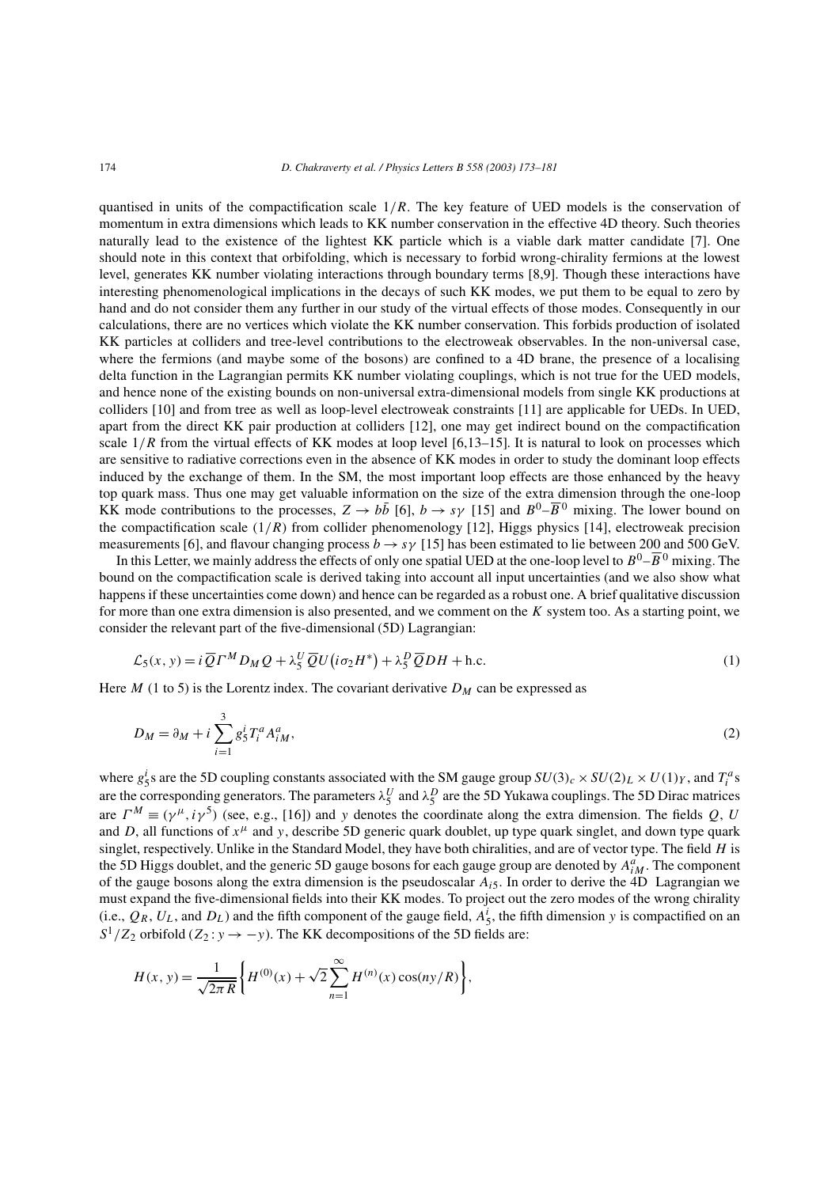quantised in units of the compactification scale  $1/R$ . The key feature of UED models is the conservation of momentum in extra dimensions which leads to KK number conservation in the effective 4D theory. Such theories naturally lead to the existence of the lightest KK particle which is a viable dark matter candidate [7]. One should note in this context that orbifolding, which is necessary to forbid wrong-chirality fermions at the lowest level, generates KK number violating interactions through boundary terms [8,9]. Though these interactions have interesting phenomenological implications in the decays of such KK modes, we put them to be equal to zero by hand and do not consider them any further in our study of the virtual effects of those modes. Consequently in our calculations, there are no vertices which violate the KK number conservation. This forbids production of isolated KK particles at colliders and tree-level contributions to the electroweak observables. In the non-universal case, where the fermions (and maybe some of the bosons) are confined to a 4D brane, the presence of a localising delta function in the Lagrangian permits KK number violating couplings, which is not true for the UED models, and hence none of the existing bounds on non-universal extra-dimensional models from single KK productions at colliders [10] and from tree as well as loop-level electroweak constraints [11] are applicable for UEDs. In UED, apart from the direct KK pair production at colliders [12], one may get indirect bound on the compactification scale  $1/R$  from the virtual effects of KK modes at loop level [6,13–15]. It is natural to look on processes which are sensitive to radiative corrections even in the absence of KK modes in order to study the dominant loop effects induced by the exchange of them. In the SM, the most important loop effects are those enhanced by the heavy top quark mass. Thus one may get valuable information on the size of the extra dimension through the one-loop KK mode contributions to the processes,  $Z \to b\bar{b}$  [6],  $b \to s\gamma$  [15] and  $B^0 - \overline{B}{}^0$  mixing. The lower bound on the compactification scale  $(1/R)$  from collider phenomenology [12], Higgs physics [14], electroweak precision measurements [6], and flavour changing process  $b \to s\gamma$  [15] has been estimated to lie between 200 and 500 GeV.

In this Letter, we mainly address the effects of only one spatial UED at the one-loop level to  $B^0-\overline B{}^0$  mixing. The bound on the compactification scale is derived taking into account all input uncertainties (and we also show what happens if these uncertainties come down) and hence can be regarded as a robust one. A brief qualitative discussion for more than one extra dimension is also presented, and we comment on the  $K$  system too. As a starting point, we consider the relevant part of the five-dimensional (5D) Lagrangian:

$$
\mathcal{L}_5(x, y) = i \overline{Q} \Gamma^M D_M Q + \lambda_5^U \overline{Q} U (i \sigma_2 H^*) + \lambda_5^D \overline{Q} D H + \text{h.c.}
$$
\n<sup>(1)</sup>

Here  $M$  (1 to 5) is the Lorentz index. The covariant derivative  $D_M$  can be expressed as

$$
D_M = \partial_M + i \sum_{i=1}^3 g_5^i T_i^a A_{iM}^a,
$$
 (2)

where  $g_5^i$ s are the 5D coupling constants associated with the SM gauge group  $SU(3)_c \times SU(2)_L \times U(1)_Y$ , and  $T_i^a$ s are the corresponding generators. The parameters  $\lambda_5^U$  and  $\lambda_5^D$  are the 5D Yukawa couplings. The 5D Dirac matrices are  $\Gamma^M \equiv (\gamma^{\mu}, i\gamma^5)$  (see, e.g., [16]) and y denotes the coordinate along the extra dimension. The fields Q, U and D, all functions of  $x^{\mu}$  and y, describe 5D generic quark doublet, up type quark singlet, and down type quark singlet, respectively. Unlike in the Standard Model, they have both chiralities, and are of vector type. The field  $H$  is the 5D Higgs doublet, and the generic 5D gauge bosons for each gauge group are denoted by  $A_{iM}^a$ . The component of the gauge bosons along the extra dimension is the pseudoscalar  $A_{i5}$ . In order to derive the 4D Lagrangian we must expand the five-dimensional fields into their KK modes. To project out the zero modes of the wrong chirality (i.e.,  $Q_R$ ,  $U_L$ , and  $D_L$ ) and the fifth component of the gauge field,  $A_5^i$ , the fifth dimension y is compactified on an  $S^1/Z_2$  orbifold ( $Z_2: y \rightarrow -y$ ). The KK decompositions of the 5D fields are:

$$
H(x, y) = \frac{1}{\sqrt{2\pi R}} \left\{ H^{(0)}(x) + \sqrt{2} \sum_{n=1}^{\infty} H^{(n)}(x) \cos(ny/R) \right\},\,
$$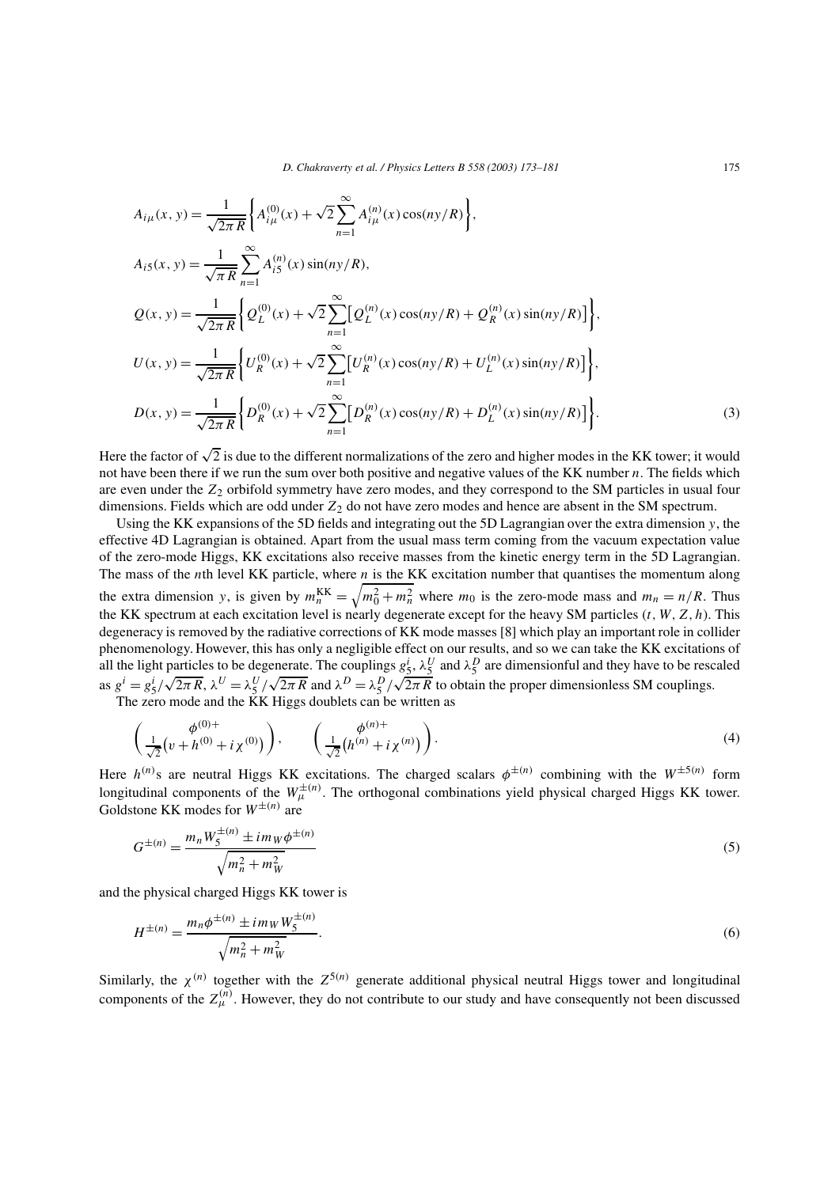$$
A_{i\mu}(x, y) = \frac{1}{\sqrt{2\pi R}} \Biggl\{ A_{i\mu}^{(0)}(x) + \sqrt{2} \sum_{n=1}^{\infty} A_{i\mu}^{(n)}(x) \cos(ny/R) \Biggr\},
$$
  
\n
$$
A_{i5}(x, y) = \frac{1}{\sqrt{\pi R}} \sum_{n=1}^{\infty} A_{i5}^{(n)}(x) \sin(ny/R),
$$
  
\n
$$
Q(x, y) = \frac{1}{\sqrt{2\pi R}} \Biggl\{ Q_L^{(0)}(x) + \sqrt{2} \sum_{n=1}^{\infty} [Q_L^{(n)}(x) \cos(ny/R) + Q_R^{(n)}(x) \sin(ny/R)] \Biggr\},
$$
  
\n
$$
U(x, y) = \frac{1}{\sqrt{2\pi R}} \Biggl\{ U_R^{(0)}(x) + \sqrt{2} \sum_{n=1}^{\infty} [U_R^{(n)}(x) \cos(ny/R) + U_L^{(n)}(x) \sin(ny/R)] \Biggr\},
$$
  
\n
$$
D(x, y) = \frac{1}{\sqrt{2\pi R}} \Biggl\{ D_R^{(0)}(x) + \sqrt{2} \sum_{n=1}^{\infty} [D_R^{(n)}(x) \cos(ny/R) + D_L^{(n)}(x) \sin(ny/R)] \Biggr\}.
$$
  
\n(3)

Here the factor of  $\sqrt{2}$  is due to the different normalizations of the zero and higher modes in the KK tower; it would not have been there if we run the sum over both positive and negative values of the KK number n. The fields which are even under the  $Z_2$  orbifold symmetry have zero modes, and they correspond to the SM particles in usual four dimensions. Fields which are odd under  $Z_2$  do not have zero modes and hence are absent in the SM spectrum.

Using the KK expansions of the 5D fields and integrating out the 5D Lagrangian over the extra dimension y, the effective 4D Lagrangian is obtained. Apart from the usual mass term coming from the vacuum expectation value of the zero-mode Higgs, KK excitations also receive masses from the kinetic energy term in the 5D Lagrangian. The mass of the *n*th level KK particle, where *n* is the KK excitation number that quantises the momentum along the extra dimension y, is given by  $m_n^{KK} = \sqrt{m_0^2 + m_n^2}$  where  $m_0$  is the zero-mode mass and  $m_n = n/R$ . Thus the KK spectrum at each excitation level is nearly degenerate except for the heavy SM particles  $(t, W, Z, h)$ . This degeneracy is removed by the radiative corrections of KK mode masses [8] which play an important role in collider phenomenology. However, this has only a negligible effect on our results, and so we can take the KK excitations of all the light particles to be degenerate. The couplings  $g_5^i$ ,  $\lambda_5^U$  and  $\lambda_5^D$  are dimensionful and they have to be rescaled as  $g^i = g_5^i / \sqrt{2\pi R}$ ,  $\lambda^U = \lambda_5^U / \sqrt{2\pi R}$  and  $\lambda^D = \lambda_5^D / \sqrt{2\pi R}$  to obtain the proper dimensionless SM couplings.

The zero mode and the KK Higgs doublets can be written as

$$
\left(\frac{\phi^{(0)+}}{\sqrt{2}}(v+h^{(0)}+i\chi^{(0)})\right), \qquad \left(\frac{\phi^{(n)+}}{\sqrt{2}}(h^{(n)}+i\chi^{(n)})\right). \tag{4}
$$

Here  $h^{(n)}$ s are neutral Higgs KK excitations. The charged scalars  $\phi^{\pm(n)}$  combining with the  $W^{\pm 5(n)}$  form longitudinal components of the  $W^{\pm(n)}_{\mu}$ . The orthogonal combinations yield physical charged Higgs KK tower. Goldstone KK modes for  $W^{\pm(n)}$  are

$$
G^{\pm(n)} = \frac{m_n W_5^{\pm(n)} \pm i m_W \phi^{\pm(n)}}{\sqrt{m_n^2 + m_W^2}}
$$
(5)

and the physical charged Higgs KK tower is

$$
H^{\pm(n)} = \frac{m_n \phi^{\pm(n)} \pm i m_W W_5^{\pm(n)}}{\sqrt{m_n^2 + m_W^2}}.
$$
\n(6)

Similarly, the  $\chi^{(n)}$  together with the  $Z^{5(n)}$  generate additional physical neutral Higgs tower and longitudinal components of the  $Z_{\mu}^{(n)}$ . However, they do not contribute to our study and have consequently not been discussed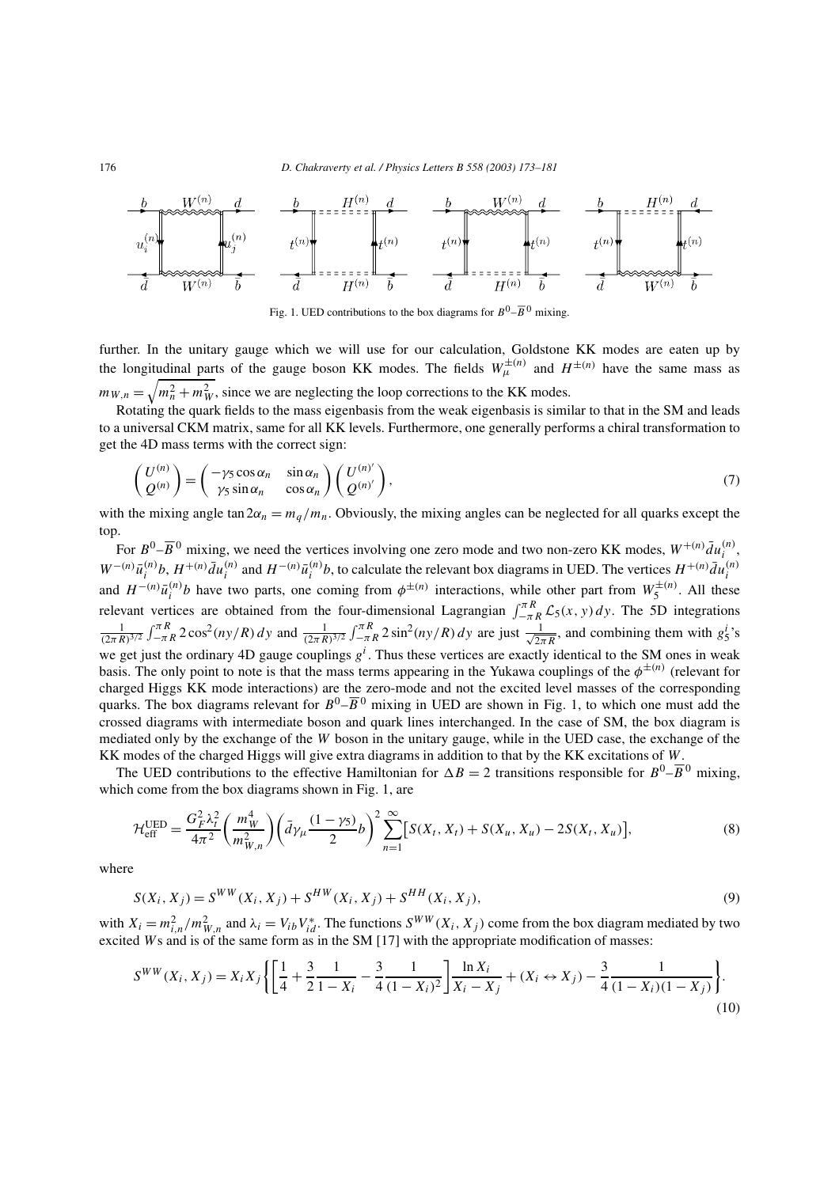

Fig. 1. UED contributions to the box diagrams for  $B^0$ – $\overline{B}{}^0$  mixing.

further. In the unitary gauge which we will use for our calculation, Goldstone KK modes are eaten up by the longitudinal parts of the gauge boson KK modes. The fields  $W^{\pm(n)}_{\mu}$  and  $H^{\pm(n)}$  have the same mass as  $m_{W,n} = \sqrt{m_n^2 + m_W^2}$ , since we are neglecting the loop corrections to the KK modes.

Rotating the quark fields to the mass eigenbasis from the weak eigenbasis is similar to that in the SM and leads to a universal CKM matrix, same for all KK levels. Furthermore, one generally performs a chiral transformation to get the 4D mass terms with the correct sign:

$$
\begin{pmatrix} U^{(n)} \\ Q^{(n)} \end{pmatrix} = \begin{pmatrix} -\gamma_5 \cos \alpha_n & \sin \alpha_n \\ \gamma_5 \sin \alpha_n & \cos \alpha_n \end{pmatrix} \begin{pmatrix} U^{(n)'} \\ Q^{(n)'} \end{pmatrix},\tag{7}
$$

with the mixing angle tan  $2\alpha_n = m_q/m_n$ . Obviously, the mixing angles can be neglected for all quarks except the top.

For  $B^0 - \overline{B}{}^0$  mixing, we need the vertices involving one zero mode and two non-zero KK modes,  $W^{+(n)} \overline{d}u_i^{(n)}$  $\binom{n}{i}$  $W^{-(n)}\bar{u}^{(n)}_i$  $i^{(n)}b$ ,  $H^{+(n)}\bar{d}u_i^{(n)}$  $i^{(n)}$  and  $H^{-(n)}\bar{u}^{(n)}_i$  $\bar{u}_i^{(n)}$ b, to calculate the relevant box diagrams in UED. The vertices  $H^{+(n)} \bar{d}u_i^{(n)}$ i and  $H^{-(n)}\bar{u}_i^{(n)}$  $\psi_i^{(n)}$  have two parts, one coming from  $\phi^{\pm(n)}$  interactions, while other part from  $W_5^{\pm(n)}$ . All these relevant vertices are obtained from the four-dimensional Lagrangian  $\int_{-\pi R}^{\pi R} \mathcal{L}_5(x, y) dy$ . The 5D integrations  $\frac{1}{(2\pi R)^{3/2}} \int_{-\pi R}^{\pi R} 2\cos^2(ny/R) dy$  and  $\frac{1}{(2\pi R)^{3/2}} \int_{-\pi R}^{\pi R} 2\sin^2(ny/R) dy$  are just  $\frac{1}{\sqrt{2\pi R}}$  $\frac{1}{2\pi R}$ , and combining them with  $g_5^i$ 's we get just the ordinary 4D gauge couplings  $g^i$ . Thus these vertices are exactly identical to the SM ones in weak basis. The only point to note is that the mass terms appearing in the Yukawa couplings of the  $\phi^{\pm(n)}$  (relevant for charged Higgs KK mode interactions) are the zero-mode and not the excited level masses of the corresponding quarks. The box diagrams relevant for  $B^0$ - $\overline{B}{}^0$  mixing in UED are shown in Fig. 1, to which one must add the crossed diagrams with intermediate boson and quark lines interchanged. In the case of SM, the box diagram is mediated only by the exchange of the W boson in the unitary gauge, while in the UED case, the exchange of the KK modes of the charged Higgs will give extra diagrams in addition to that by the KK excitations of W.

The UED contributions to the effective Hamiltonian for  $\Delta B = 2$  transitions responsible for  $B^0 - \overline{B}{}^0$  mixing, which come from the box diagrams shown in Fig. 1, are

$$
\mathcal{H}_{\text{eff}}^{\text{UED}} = \frac{G_F^2 \lambda_t^2}{4\pi^2} \left( \frac{m_W^4}{m_{W,n}^2} \right) \left( \bar{d}\gamma_\mu \frac{(1-\gamma_5)}{2} b \right)^2 \sum_{n=1}^\infty \left[ S(X_t, X_t) + S(X_u, X_u) - 2S(X_t, X_u) \right],\tag{8}
$$

where

$$
S(X_i, X_j) = S^{WW}(X_i, X_j) + S^{HW}(X_i, X_j) + S^{HH}(X_i, X_j),
$$
\n(9)

with  $X_i = m_{i,n}^2/m_{W,n}^2$  and  $\lambda_i = V_{ib}V_{id}^*$ . The functions  $S^{WW}(X_i, X_j)$  come from the box diagram mediated by two excited Ws and is of the same form as in the SM [17] with the appropriate modification of masses:

$$
S^{WW}(X_i, X_j) = X_i X_j \left\{ \left[ \frac{1}{4} + \frac{3}{2} \frac{1}{1 - X_i} - \frac{3}{4} \frac{1}{(1 - X_i)^2} \right] \frac{\ln X_i}{X_i - X_j} + (X_i \leftrightarrow X_j) - \frac{3}{4} \frac{1}{(1 - X_i)(1 - X_j)} \right\}.
$$
\n(10)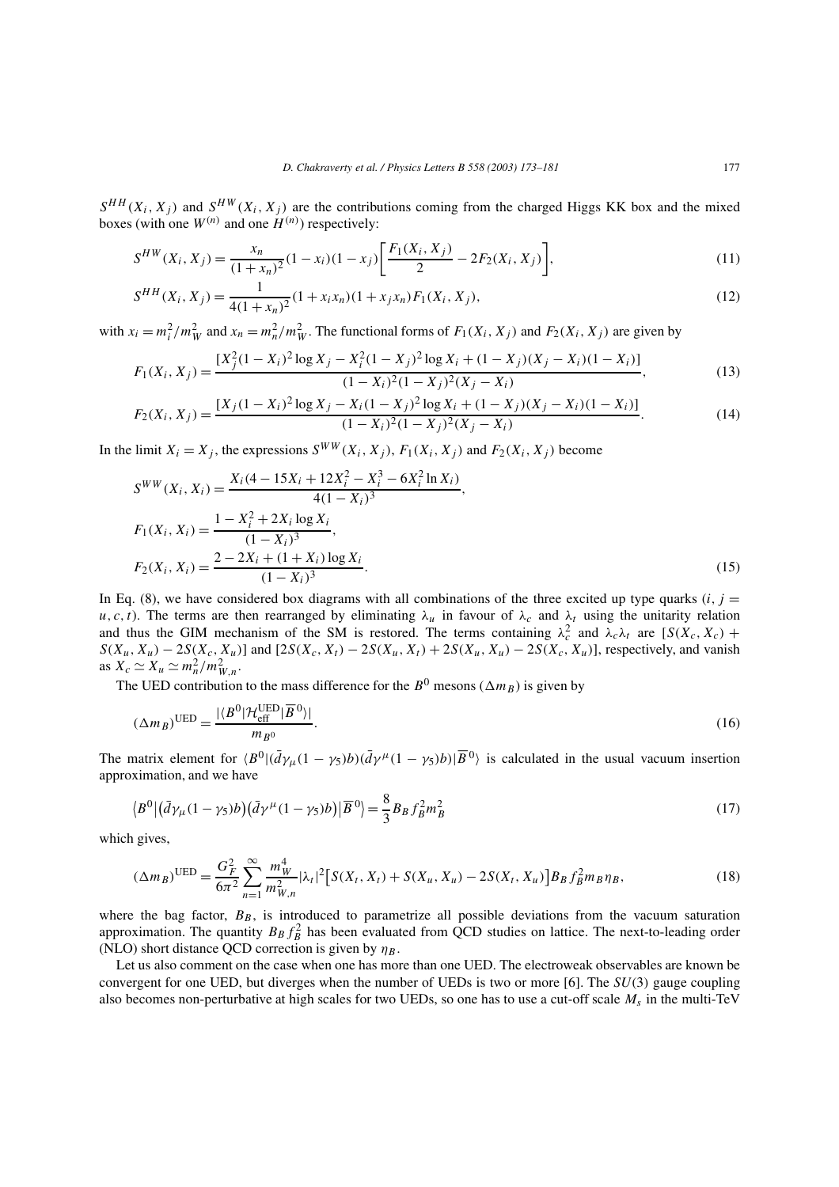$S^{HH}(X_i, X_j)$  and  $S^{HW}(X_i, X_j)$  are the contributions coming from the charged Higgs KK box and the mixed boxes (with one  $W^{(n)}$  and one  $H^{(n)}$ ) respectively:

$$
S^{HW}(X_i, X_j) = \frac{x_n}{(1+x_n)^2}(1-x_i)(1-x_j)\left[\frac{F_1(X_i, X_j)}{2} - 2F_2(X_i, X_j)\right],\tag{11}
$$

$$
S^{HH}(X_i, X_j) = \frac{1}{4(1+x_n)^2}(1+x_ix_n)(1+x_jx_n)F_1(X_i, X_j),
$$
\n(12)

with  $x_i = m_i^2/m_W^2$  and  $x_n = m_n^2/m_W^2$ . The functional forms of  $F_1(X_i, X_j)$  and  $F_2(X_i, X_j)$  are given by  $\cdot \cdot$ 

$$
F_1(X_i, X_j) = \frac{[X_j^2(1-X_i)^2\log X_j - X_i^2(1-X_j)^2\log X_i + (1-X_j)(X_j-X_i)(1-X_i)]}{(1-X_i)^2(1-X_j)^2(X_j-X_i)},
$$
\n(13)

$$
F_2(X_i, X_j) = \frac{[X_j(1 - X_i)^2 \log X_j - X_i(1 - X_j)^2 \log X_i + (1 - X_j)(X_j - X_i)(1 - X_i)]}{(1 - X_i)^2(1 - X_j)^2(X_j - X_i)}.
$$
\n(14)

In the limit  $X_i = X_j$ , the expressions  $S^{WW}(X_i, X_j)$ ,  $F_1(X_i, X_j)$  and  $F_2(X_i, X_j)$  become

$$
S^{WW}(X_i, X_i) = \frac{X_i(4 - 15X_i + 12X_i^2 - X_i^3 - 6X_i^2 \ln X_i)}{4(1 - X_i)^3},
$$
  
\n
$$
F_1(X_i, X_i) = \frac{1 - X_i^2 + 2X_i \log X_i}{(1 - X_i)^3},
$$
  
\n
$$
F_2(X_i, X_i) = \frac{2 - 2X_i + (1 + X_i) \log X_i}{(1 - X_i)^3}.
$$
\n(15)

In Eq. (8), we have considered box diagrams with all combinations of the three excited up type quarks  $(i, j =$ u, c, t). The terms are then rearranged by eliminating  $\lambda_\mu$  in favour of  $\lambda_c$  and  $\lambda_t$  using the unitarity relation and thus the GIM mechanism of the SM is restored. The terms containing  $\lambda_c^2$  and  $\lambda_c \lambda_t$  are  $[S(X_c, X_c) +$  $S(X_u, X_u) - 2S(X_c, X_u)$ ] and  $[2S(X_c, X_t) - 2S(X_u, X_t) + 2S(X_u, X_u) - 2S(X_c, X_u)]$ , respectively, and vanish as  $X_c \simeq X_u \simeq m_n^2/m_{W,n}^2$ .

The UED contribution to the mass difference for the  $B^0$  mesons  $(\Delta m_B)$  is given by

$$
(\Delta m_B)^{\text{UED}} = \frac{|\langle B^0 | \mathcal{H}_{\text{eff}}^{\text{UED}} | \overline{B}^0 \rangle|}{m_{B^0}}.
$$
\n(16)

The matrix element for  $\langle B^0 | (\bar{d}\gamma_\mu (1 - \gamma_5) b) (\bar{d}\gamma^\mu (1 - \gamma_5) b) | \overline{B}{}^0 \rangle$  is calculated in the usual vacuum insertion approximation, and we have

$$
\langle B^0 | \left( \bar{d}\gamma_\mu (1 - \gamma_5) b \right) \left( \bar{d}\gamma^\mu (1 - \gamma_5) b \right) \rangle \overline{B}^0 \rangle = \frac{8}{3} B_B f_B^2 m_B^2 \tag{17}
$$

which gives,

$$
(\Delta m_B)^{\text{UED}} = \frac{G_F^2}{6\pi^2} \sum_{n=1}^{\infty} \frac{m_W^4}{m_{W,n}^2} |\lambda_t|^2 \Big[ S(X_t, X_t) + S(X_u, X_u) - 2S(X_t, X_u) \Big] B_B f_B^2 m_B \eta_B, \tag{18}
$$

where the bag factor,  $B_B$ , is introduced to parametrize all possible deviations from the vacuum saturation approximation. The quantity  $B_B f_B^2$  has been evaluated from QCD studies on lattice. The next-to-leading order (NLO) short distance QCD correction is given by  $\eta_B$ .

Let us also comment on the case when one has more than one UED. The electroweak observables are known be convergent for one UED, but diverges when the number of UEDs is two or more [6]. The *SU*(3) gauge coupling also becomes non-perturbative at high scales for two UEDs, so one has to use a cut-off scale  $M_s$  in the multi-TeV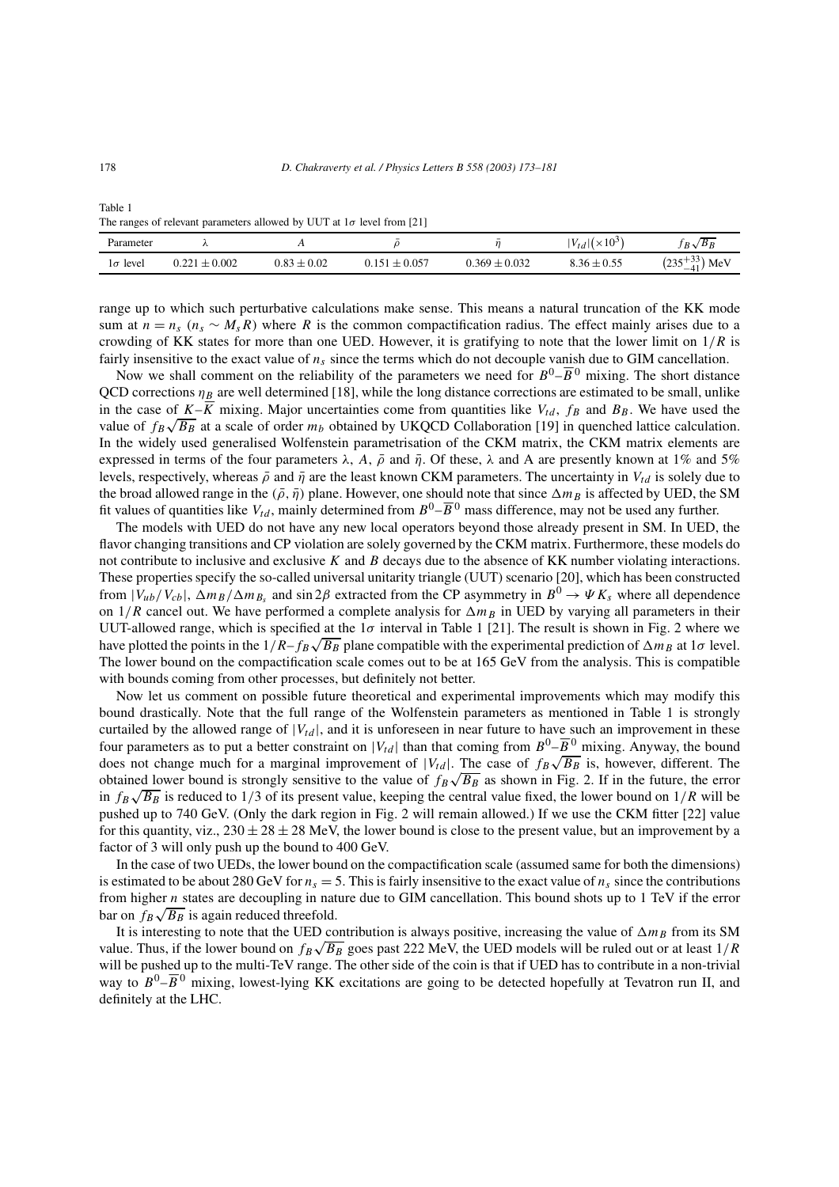|                 | The range of reference parameters allowed $\sigma$ , $\sigma \sigma$ ratio is to the model $\sigma$ |                 |                   |                   |                          |                         |  |
|-----------------|-----------------------------------------------------------------------------------------------------|-----------------|-------------------|-------------------|--------------------------|-------------------------|--|
| Parameter       |                                                                                                     |                 |                   |                   | $ V_{td}  (\times 10^3)$ | $B_R$<br>$R\sqrt{ }$    |  |
| $1\sigma$ level | $0.221 \pm 0.002$                                                                                   | $0.83 \pm 0.02$ | $0.151 \pm 0.057$ | $0.369 \pm 0.032$ | $8.36 \pm 0.55$          | $(235^{+33}_{-41})$ MeV |  |

The ranges of relevant parameters allowed by UUT at  $1\sigma$  level from [21]

range up to which such perturbative calculations make sense. This means a natural truncation of the KK mode sum at  $n = n_s$  ( $n_s \sim M_s R$ ) where R is the common compactification radius. The effect mainly arises due to a crowding of KK states for more than one UED. However, it is gratifying to note that the lower limit on  $1/R$  is fairly insensitive to the exact value of  $n<sub>s</sub>$  since the terms which do not decouple vanish due to GIM cancellation.

Now we shall comment on the reliability of the parameters we need for  $B^0$ – $\overline{B}$ <sup>0</sup> mixing. The short distance QCD corrections  $\eta_B$  are well determined [18], while the long distance corrections are estimated to be small, unlike in the case of  $K-\overline{K}$  mixing. Major uncertainties come from quantities like  $V_{td}$ ,  $f_B$  and  $B_B$ . We have used the value of  $f_B\sqrt{B_B}$  at a scale of order  $m_b$  obtained by UKQCD Collaboration [19] in quenched lattice calculation. In the widely used generalised Wolfenstein parametrisation of the CKM matrix, the CKM matrix elements are expressed in terms of the four parameters  $\lambda$ , A,  $\bar{\rho}$  and  $\bar{\eta}$ . Of these,  $\lambda$  and A are presently known at 1% and 5% levels, respectively, whereas  $\bar{\rho}$  and  $\bar{\eta}$  are the least known CKM parameters. The uncertainty in  $V_{td}$  is solely due to the broad allowed range in the  $(\bar{\rho}, \bar{\eta})$  plane. However, one should note that since  $\Delta m_B$  is affected by UED, the SM fit values of quantities like  $V_{td}$ , mainly determined from  $B^0 - \overline{B}{}^0$  mass difference, may not be used any further.

The models with UED do not have any new local operators beyond those already present in SM. In UED, the flavor changing transitions and CP violation are solely governed by the CKM matrix. Furthermore, these models do not contribute to inclusive and exclusive  $K$  and  $B$  decays due to the absence of  $KK$  number violating interactions. These properties specify the so-called universal unitarity triangle (UUT) scenario [20], which has been constructed from  $|V_{ub}/V_{cb}|$ ,  $\Delta m_B/\Delta m_{B_s}$  and sin 2 $\beta$  extracted from the CP asymmetry in  $B^0 \to \Psi K_s$  where all dependence on  $1/R$  cancel out. We have performed a complete analysis for  $\Delta m_B$  in UED by varying all parameters in their UUT-allowed range, which is specified at the  $1\sigma$  interval in Table 1 [21]. The result is shown in Fig. 2 where we have plotted the points in the  $1/R - f_B\sqrt{B_B}$  plane compatible with the experimental prediction of  $\Delta m_B$  at 1 $\sigma$  level. The lower bound on the compactification scale comes out to be at 165 GeV from the analysis. This is compatible with bounds coming from other processes, but definitely not better.

Now let us comment on possible future theoretical and experimental improvements which may modify this bound drastically. Note that the full range of the Wolfenstein parameters as mentioned in Table 1 is strongly curtailed by the allowed range of  $|V_{td}|$ , and it is unforeseen in near future to have such an improvement in these four parameters as to put a better constraint on  $|V_{td}|$  than that coming from  $B^0 - \overline{B}^0$  mixing. Anyway, the bound does not change much for a marginal improvement of  $|V_{td}|$ . The case of  $f_B\sqrt{B_B}$  is, however, different. The obtained lower bound is strongly sensitive to the value of  $f_B\sqrt{B_B}$  as shown in Fig. 2. If in the future, the error in  $f_B\sqrt{B_B}$  is reduced to 1/3 of its present value, keeping the central value fixed, the lower bound on 1/R will be pushed up to 740 GeV. (Only the dark region in Fig. 2 will remain allowed.) If we use the CKM fitter [22] value for this quantity, viz.,  $230 \pm 28 \pm 28$  MeV, the lower bound is close to the present value, but an improvement by a factor of 3 will only push up the bound to 400 GeV.

In the case of two UEDs, the lower bound on the compactification scale (assumed same for both the dimensions) is estimated to be about 280 GeV for  $n_s = 5$ . This is fairly insensitive to the exact value of  $n_s$  since the contributions from higher  $n$  states are decoupling in nature due to GIM cancellation. This bound shots up to 1 TeV if the error bar on  $f_B \sqrt{B_B}$  is again reduced threefold.

It is interesting to note that the UED contribution is always positive, increasing the value of  $\Delta m_B$  from its SM value. Thus, if the lower bound on  $f_B\sqrt{B_B}$  goes past 222 MeV, the UED models will be ruled out or at least  $1/R$ will be pushed up to the multi-TeV range. The other side of the coin is that if UED has to contribute in a non-trivial way to  $B^0$ – $\overline{B}{}^0$  mixing, lowest-lying KK excitations are going to be detected hopefully at Tevatron run II, and definitely at the LHC.

Table 1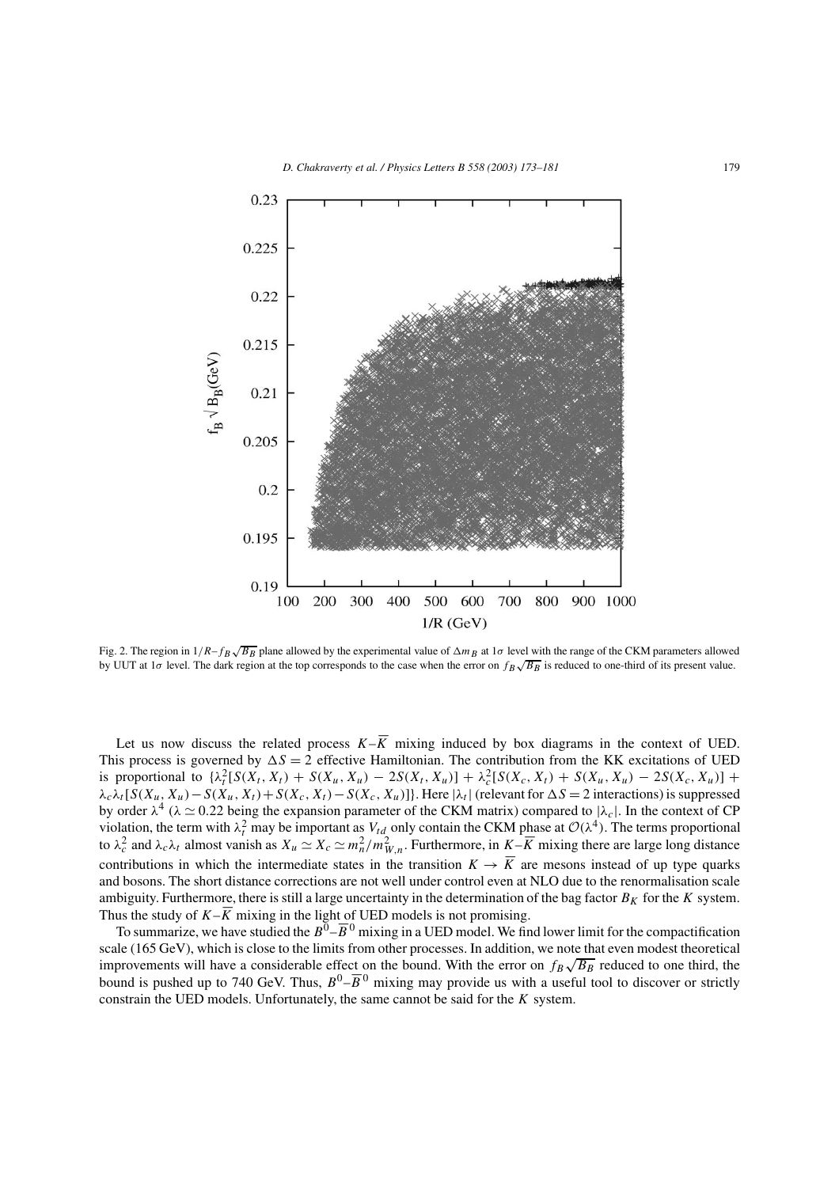

Fig. 2. The region in  $1/R - f_B \sqrt{B_B}$  plane allowed by the experimental value of  $\Delta m_B$  at  $1\sigma$  level with the range of the CKM parameters allowed by UUT at 1 $\sigma$  level. The dark region at the top corresponds to the case when the error on  $f_B\sqrt{B_B}$  is reduced to one-third of its present value.

Let us now discuss the related process  $K-\overline{K}$  mixing induced by box diagrams in the context of UED. This process is governed by  $\Delta S = 2$  effective Hamiltonian. The contribution from the KK excitations of UED is proportional to  $\{\lambda_t^2[S(X_t, X_t) + S(X_u, X_u) - 2S(X_t, X_u)] + \lambda_c^2[S(X_c, X_t) + S(X_u, X_u) - 2S(X_c, X_u)]\}$  $\lambda_c \lambda_t [S(X_u, X_u) - S(X_u, X_t) + S(X_c, X_t) - S(X_c, X_u)]$ . Here  $|\lambda_t|$  (relevant for  $\Delta S = 2$  interactions) is suppressed by order  $\lambda^4$  ( $\lambda \simeq 0.22$  being the expansion parameter of the CKM matrix) compared to  $|\lambda_c|$ . In the context of CP violation, the term with  $\lambda_t^2$  may be important as  $V_{td}$  only contain the CKM phase at  $\mathcal{O}(\lambda^4)$ . The terms proportional to  $\lambda_c^2$  and  $\lambda_c \lambda_t$  almost vanish as  $X_u \simeq X_c \simeq m_n^2/m_{W,n}^2$ . Furthermore, in  $K - \overline{K}$  mixing there are large long distance contributions in which the intermediate states in the transition  $K \to \overline{K}$  are mesons instead of up type quarks and bosons. The short distance corrections are not well under control even at NLO due to the renormalisation scale ambiguity. Furthermore, there is still a large uncertainty in the determination of the bag factor  $B_K$  for the K system. Thus the study of  $K-\overline{K}$  mixing in the light of UED models is not promising.

To summarize, we have studied the  $B^0-\overline{B}{}^0$  mixing in a UED model. We find lower limit for the compactification scale (165 GeV), which is close to the limits from other processes. In addition, we note that even modest theoretical improvements will have a considerable effect on the bound. With the error on  $f_B\sqrt{B_B}$  reduced to one third, the bound is pushed up to 740 GeV. Thus,  $B^0$ - $\overline{B}{}^0$  mixing may provide us with a useful tool to discover or strictly constrain the UED models. Unfortunately, the same cannot be said for the  $K$  system.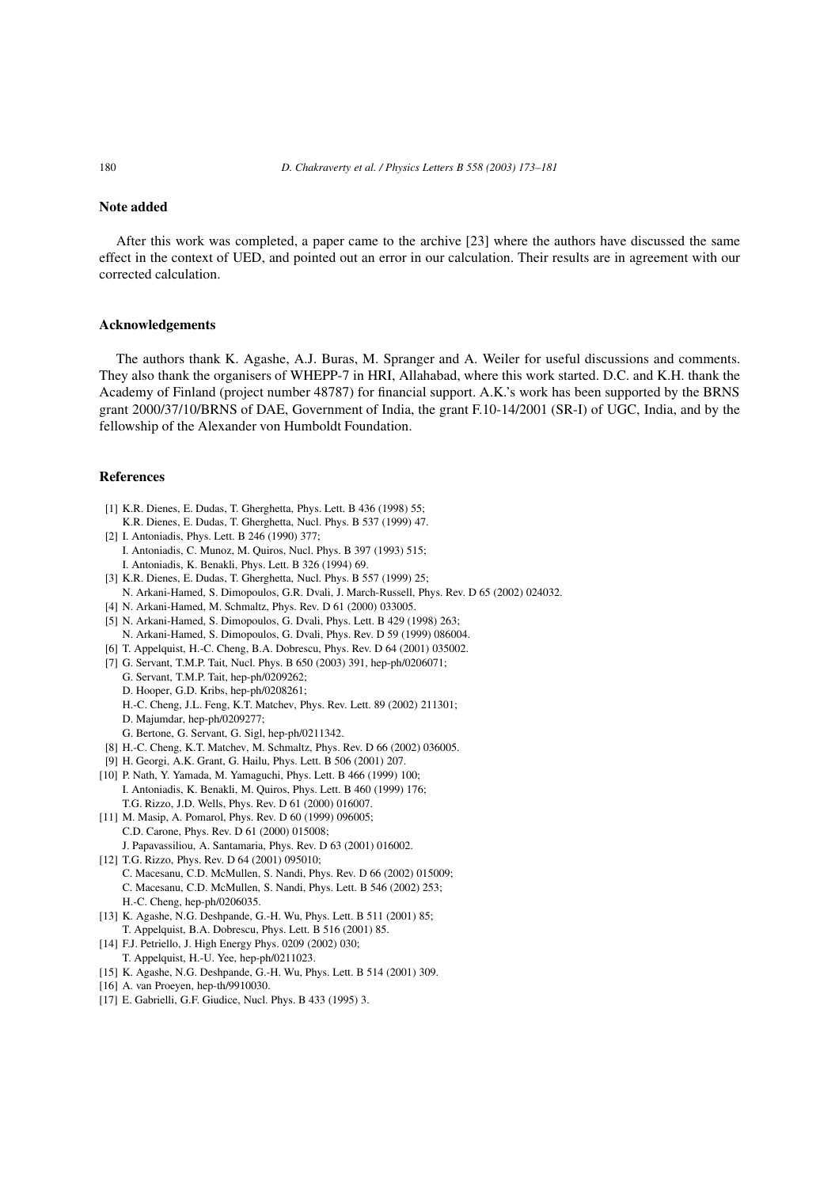# **Note added**

After this work was completed, a paper came to the archive [23] where the authors have discussed the same effect in the context of UED, and pointed out an error in our calculation. Their results are in agreement with our corrected calculation.

#### **Acknowledgements**

The authors thank K. Agashe, A.J. Buras, M. Spranger and A. Weiler for useful discussions and comments. They also thank the organisers of WHEPP-7 in HRI, Allahabad, where this work started. D.C. and K.H. thank the Academy of Finland (project number 48787) for financial support. A.K.'s work has been supported by the BRNS grant 2000/37/10/BRNS of DAE, Government of India, the grant F.10-14/2001 (SR-I) of UGC, India, and by the fellowship of the Alexander von Humboldt Foundation.

### **References**

- [1] K.R. Dienes, E. Dudas, T. Gherghetta, Phys. Lett. B 436 (1998) 55; K.R. Dienes, E. Dudas, T. Gherghetta, Nucl. Phys. B 537 (1999) 47.
- [2] I. Antoniadis, Phys. Lett. B 246 (1990) 377; I. Antoniadis, C. Munoz, M. Quiros, Nucl. Phys. B 397 (1993) 515;
	- I. Antoniadis, K. Benakli, Phys. Lett. B 326 (1994) 69.
- [3] K.R. Dienes, E. Dudas, T. Gherghetta, Nucl. Phys. B 557 (1999) 25;
- N. Arkani-Hamed, S. Dimopoulos, G.R. Dvali, J. March-Russell, Phys. Rev. D 65 (2002) 024032.
- [4] N. Arkani-Hamed, M. Schmaltz, Phys. Rev. D 61 (2000) 033005.
- [5] N. Arkani-Hamed, S. Dimopoulos, G. Dvali, Phys. Lett. B 429 (1998) 263;
	- N. Arkani-Hamed, S. Dimopoulos, G. Dvali, Phys. Rev. D 59 (1999) 086004.
- [6] T. Appelquist, H.-C. Cheng, B.A. Dobrescu, Phys. Rev. D 64 (2001) 035002.
- [7] G. Servant, T.M.P. Tait, Nucl. Phys. B 650 (2003) 391, hep-ph/0206071;
	- G. Servant, T.M.P. Tait, hep-ph/0209262;
	- D. Hooper, G.D. Kribs, hep-ph/0208261;
	- H.-C. Cheng, J.L. Feng, K.T. Matchev, Phys. Rev. Lett. 89 (2002) 211301;
	- D. Majumdar, hep-ph/0209277;
	- G. Bertone, G. Servant, G. Sigl, hep-ph/0211342.
- [8] H.-C. Cheng, K.T. Matchev, M. Schmaltz, Phys. Rev. D 66 (2002) 036005.
- [9] H. Georgi, A.K. Grant, G. Hailu, Phys. Lett. B 506 (2001) 207.
- [10] P. Nath, Y. Yamada, M. Yamaguchi, Phys. Lett. B 466 (1999) 100; I. Antoniadis, K. Benakli, M. Quiros, Phys. Lett. B 460 (1999) 176; T.G. Rizzo, J.D. Wells, Phys. Rev. D 61 (2000) 016007.
- [11] M. Masip, A. Pomarol, Phys. Rev. D 60 (1999) 096005; C.D. Carone, Phys. Rev. D 61 (2000) 015008; J. Papavassiliou, A. Santamaria, Phys. Rev. D 63 (2001) 016002.
- [12] T.G. Rizzo, Phys. Rev. D 64 (2001) 095010; C. Macesanu, C.D. McMullen, S. Nandi, Phys. Rev. D 66 (2002) 015009; C. Macesanu, C.D. McMullen, S. Nandi, Phys. Lett. B 546 (2002) 253; H.-C. Cheng, hep-ph/0206035.
- [13] K. Agashe, N.G. Deshpande, G.-H. Wu, Phys. Lett. B 511 (2001) 85; T. Appelquist, B.A. Dobrescu, Phys. Lett. B 516 (2001) 85.
- [14] F.J. Petriello, J. High Energy Phys. 0209 (2002) 030;
- T. Appelquist, H.-U. Yee, hep-ph/0211023. [15] K. Agashe, N.G. Deshpande, G.-H. Wu, Phys. Lett. B 514 (2001) 309.
- [16] A. van Proeyen, hep-th/9910030.
- [17] E. Gabrielli, G.F. Giudice, Nucl. Phys. B 433 (1995) 3.